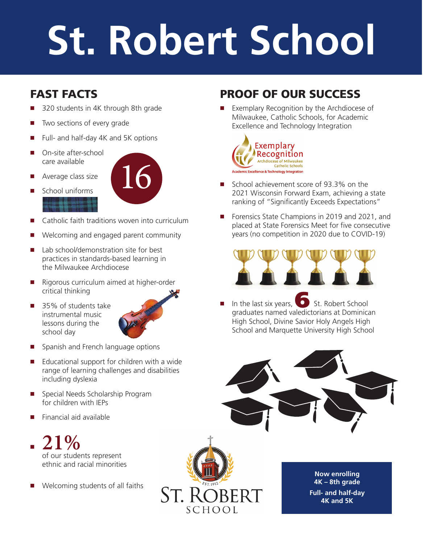# **St. Robert School**

## **FAST FACTS**

- -320 students in 4K through 8th grade
- -Two sections of every grade
- -Full- and half-day 4K and 5K options
- -On-site after-school care available
- -Average class size



- -School uniforms
- -Catholic faith traditions woven into curriculum
- -Welcoming and engaged parent community
- -Lab school/demonstration site for best practices in standards-based learning in the Milwaukee Archdiocese
- Rigorous curriculum aimed at higher-order critical thinking
- 35% of students take instrumental music lessons during the school day



- **E** Spanish and French language options
- Educational support for children with a wide range of learning challenges and disabilities including dyslexia
- -Special Needs Scholarship Program for children with IEPs
- -Financial aid available



-Welcoming students of all faiths

## **PROOF OF OUR SUCCESS**

-Exemplary Recognition by the Archdiocese of Milwaukee, Catholic Schools, for Academic Excellence and Technology Integration



- School achievement score of 93.3% on the 2021 Wisconsin Forward Exam, achieving a state ranking of "Significantly Exceeds Expectations"
- -Forensics State Champions in 2019 and 2021, and placed at State Forensics Meet for five consecutive years (no competition in 2020 due to COVID-19)



-In the last six years, **6** St. Robert School graduates named valedictorians at Dominican High School, Divine Savior Holy Angels High School and Marquette University High School





**Now enrolling 4K – 8th grade Full- and half-day 4K and 5K**